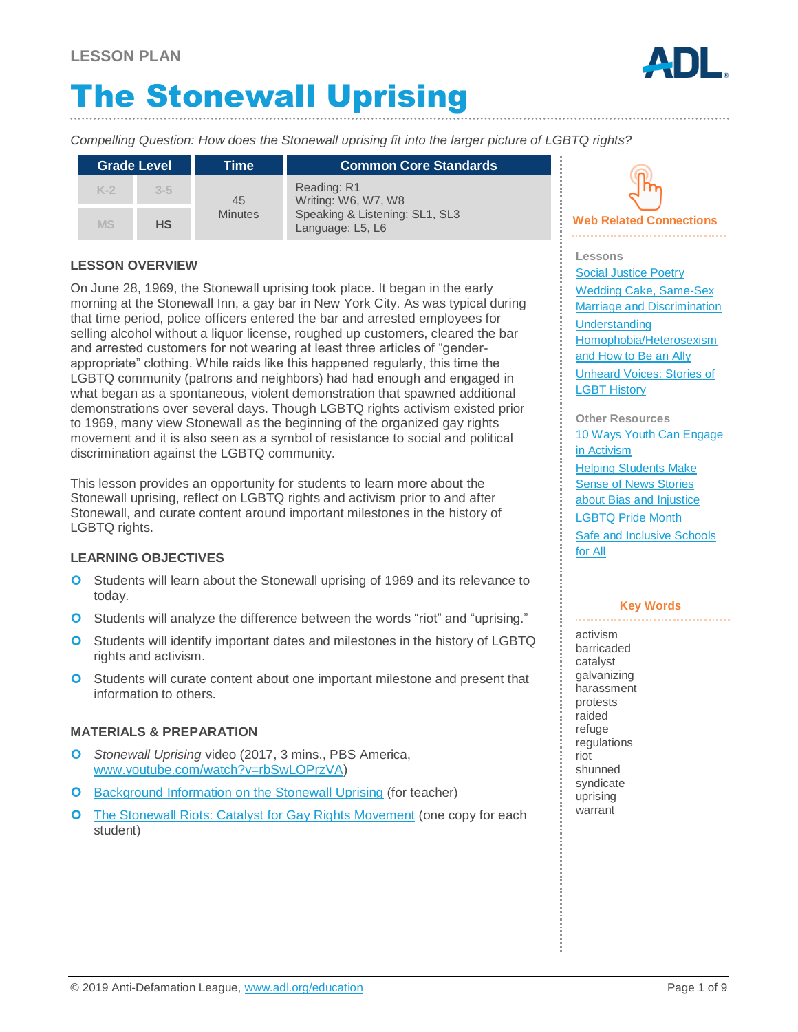# The Stonewall Uprising

*Compelling Question: How does the Stonewall uprising fit into the larger picture of LGBTQ rights?*

| <b>Grade Level</b> |           | Time                 | <b>Common Core Standards</b>                                                             |
|--------------------|-----------|----------------------|------------------------------------------------------------------------------------------|
| $K-2$              | $3 - 5$   | 45<br><b>Minutes</b> | Reading: R1<br>Writing: W6, W7, W8<br>Speaking & Listening: SL1, SL3<br>Language: L5, L6 |
| <b>MS</b>          | <b>HS</b> |                      |                                                                                          |

### **LESSON OVERVIEW**

On June 28, 1969, the Stonewall uprising took place. It began in the early morning at the Stonewall Inn, a gay bar in New York City. As was typical during that time period, police officers entered the bar and arrested employees for selling alcohol without a liquor license, roughed up customers, cleared the bar and arrested customers for not wearing at least three articles of "genderappropriate" clothing. While raids like this happened regularly, this time the LGBTQ community (patrons and neighbors) had had enough and engaged in what began as a spontaneous, violent demonstration that spawned additional demonstrations over several days. Though LGBTQ rights activism existed prior to 1969, many view Stonewall as the beginning of the organized gay rights movement and it is also seen as a symbol of resistance to social and political discrimination against the LGBTQ community.

This lesson provides an opportunity for students to learn more about the Stonewall uprising, reflect on LGBTQ rights and activism prior to and after Stonewall, and curate content around important milestones in the history of LGBTQ rights.

### **LEARNING OBJECTIVES**

- **O** Students will learn about the Stonewall uprising of 1969 and its relevance to today.
- Students will analyze the difference between the words "riot" and "uprising."
- **O** Students will identify important dates and milestones in the history of LGBTQ rights and activism.
- **O** Students will curate content about one important milestone and present that information to others.

### **MATERIALS & PREPARATION**

- *Stonewall Uprising* video (2017, 3 mins., PBS America, [www.youtube.com/watch?v=rbSwLOPrzVA\)](https://www.youtube.com/watch?v=rbSwLOPrzVA)
- **O** [Background Information on the Stonewall Uprising](#page-5-0) (for teacher)
- **O** [The Stonewall Riots: Catalyst for Gay Rights Movement](#page-6-0) (one copy for each student)



### **Web Related Connections**

**Lessons** [Social Justice Poetry](https://www.adl.org/education/educator-resources/lesson-plans/social-justice-poetry) [Wedding Cake, Same-Sex](https://www.adl.org/education/educator-resources/lesson-plans/wedding-cake-same-sex-marriage-and-discrimination)  [Marriage and Discrimination](https://www.adl.org/education/educator-resources/lesson-plans/wedding-cake-same-sex-marriage-and-discrimination) [Understanding](https://www.adl.org/education/educator-resources/lesson-plans/understanding-homophobia-heterosexism-and-how-to-be-an)  [Homophobia/Heterosexism](https://www.adl.org/education/educator-resources/lesson-plans/understanding-homophobia-heterosexism-and-how-to-be-an)  [and How to Be an Ally](https://www.adl.org/education/educator-resources/lesson-plans/understanding-homophobia-heterosexism-and-how-to-be-an) [Unheard Voices: Stories of](https://www.adl.org/education/educator-resources/lesson-plans/unheard-voices-stories-of-lgbt-history)  [LGBT History](https://www.adl.org/education/educator-resources/lesson-plans/unheard-voices-stories-of-lgbt-history)

**Other Resources** [10 Ways Youth Can Engage](https://www.adl.org/education/resources/tools-and-strategies/10-ways-youth-can-engage-in-activism)  [in Activism](https://www.adl.org/education/resources/tools-and-strategies/10-ways-youth-can-engage-in-activism) [Helping Students Make](https://www.adl.org/education/resources/tools-and-strategies/helping-students-make-sense-of-news-stories-about-bias-and)  [Sense of News Stories](https://www.adl.org/education/resources/tools-and-strategies/helping-students-make-sense-of-news-stories-about-bias-and)  [about Bias and Injustice](https://www.adl.org/education/resources/tools-and-strategies/helping-students-make-sense-of-news-stories-about-bias-and) [LGBTQ Pride Month](https://www.adl.org/education/resources/tools-and-strategies/lgbtq-pride-month) [Safe and Inclusive Schools](https://www.adl.org/education/resources/tools-and-strategies/safe-and-inclusive-schools-for-all)  [for All](https://www.adl.org/education/resources/tools-and-strategies/safe-and-inclusive-schools-for-all)

#### **Key Words**

activism barricaded catalyst galvanizing harassment protests raided refuge regulations riot shunned syndicate uprising warrant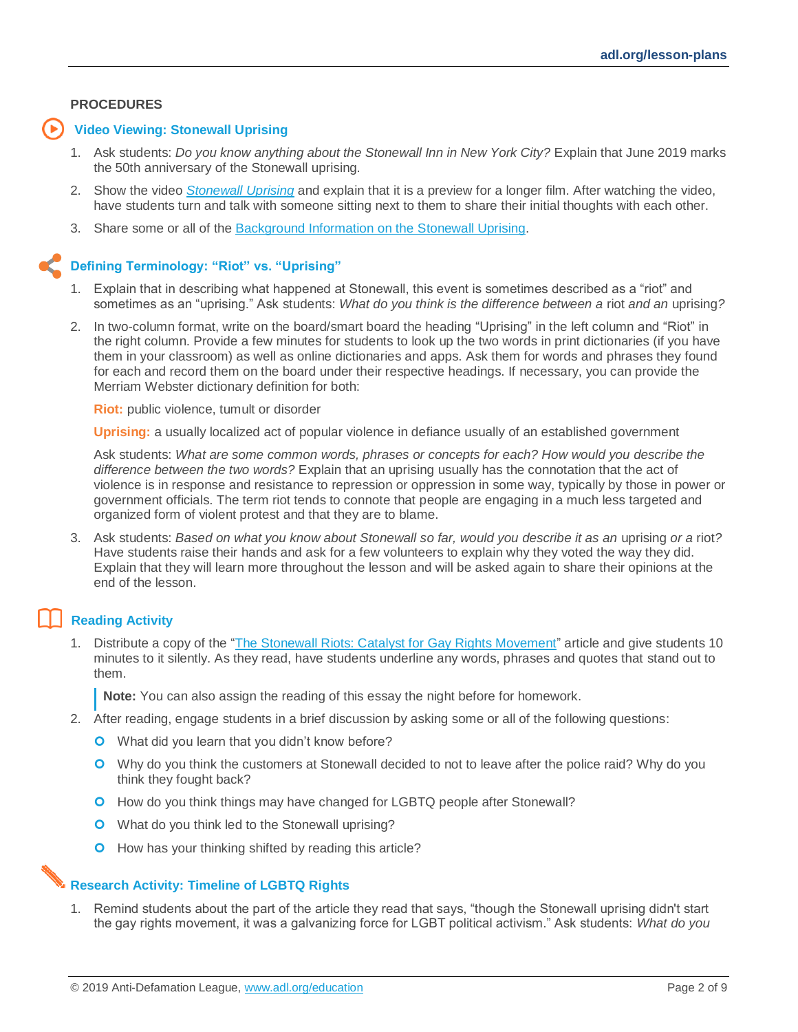#### **PROCEDURES**

#### **Video Viewing: Stonewall Uprising**

- 1. Ask students: *Do you know anything about the Stonewall Inn in New York City?* Explain that June 2019 marks the 50th anniversary of the Stonewall uprising.
- 2. Show the video *[Stonewall Uprising](https://www.youtube.com/watch?v=rbSwLOPrzVA)* and explain that it is a preview for a longer film. After watching the video, have students turn and talk with someone sitting next to them to share their initial thoughts with each other.
- 3. Share some or all of the [Background Information on the Stonewall Uprising.](#page-5-0)

### **Defining Terminology: "Riot" vs. "Uprising"**

- 1. Explain that in describing what happened at Stonewall, this event is sometimes described as a "riot" and sometimes as an "uprising." Ask students: *What do you think is the difference between a* riot *and an* uprising*?*
- 2. In two-column format, write on the board/smart board the heading "Uprising" in the left column and "Riot" in the right column. Provide a few minutes for students to look up the two words in print dictionaries (if you have them in your classroom) as well as online dictionaries and apps. Ask them for words and phrases they found for each and record them on the board under their respective headings. If necessary, you can provide the Merriam Webster dictionary definition for both:

**Riot:** public violence, tumult or disorder

**Uprising:** a usually localized act of popular violence in defiance usually of an established government

Ask students: *What are some common words, phrases or concepts for each? How would you describe the difference between the two words?* Explain that an uprising usually has the connotation that the act of violence is in response and resistance to repression or oppression in some way, typically by those in power or government officials. The term riot tends to connote that people are engaging in a much less targeted and organized form of violent protest and that they are to blame.

3. Ask students: *Based on what you know about Stonewall so far, would you describe it as an* uprising *or a* riot*?* Have students raise their hands and ask for a few volunteers to explain why they voted the way they did. Explain that they will learn more throughout the lesson and will be asked again to share their opinions at the end of the lesson.

### **Reading Activity**

1. Distribute a copy of the ["The Stonewall Riots: Catalyst for Gay Rights Movement"](#page-6-0) article and give students 10 minutes to it silently. As they read, have students underline any words, phrases and quotes that stand out to them.

**Note:** You can also assign the reading of this essay the night before for homework.

- 2. After reading, engage students in a brief discussion by asking some or all of the following questions:
	- **O** What did you learn that you didn't know before?
	- Why do you think the customers at Stonewall decided to not to leave after the police raid? Why do you think they fought back?
	- **O** How do you think things may have changed for LGBTQ people after Stonewall?
	- **O** What do you think led to the Stonewall uprising?
	- **O** How has your thinking shifted by reading this article?

#### **Research Activity: Timeline of LGBTQ Rights**

1. Remind students about the part of the article they read that says, "though the Stonewall uprising didn't start the gay rights movement, it was a galvanizing force for LGBT political activism." Ask students: *What do you*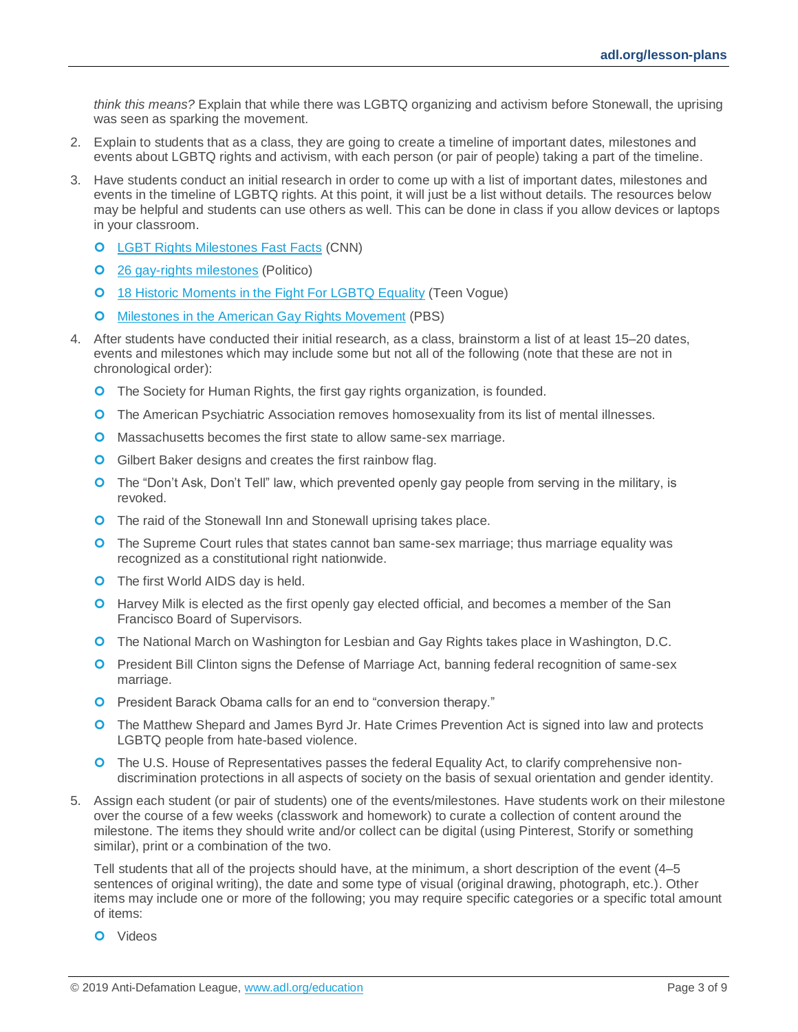*think this means?* Explain that while there was LGBTQ organizing and activism before Stonewall, the uprising was seen as sparking the movement.

- 2. Explain to students that as a class, they are going to create a timeline of important dates, milestones and events about LGBTQ rights and activism, with each person (or pair of people) taking a part of the timeline.
- 3. Have students conduct an initial research in order to come up with a list of important dates, milestones and events in the timeline of LGBTQ rights. At this point, it will just be a list without details. The resources below may be helpful and students can use others as well. This can be done in class if you allow devices or laptops in your classroom.
	- **O** [LGBT Rights Milestones Fast Facts](https://www.cnn.com/2015/06/19/us/lgbt-rights-milestones-fast-facts/index.html) (CNN)
	- **O** [26 gay-rights milestones](https://www.politico.com/gallery/26-gay-rights-milestones?slide=8) (Politico)
	- **0** 18 Historic [Moments in the Fight For LGBTQ Equality](https://www.teenvogue.com/story/lgbt-equality-key-moments-timeline) (Teen Vogue)
	- **O** [Milestones in the American Gay Rights Movement](https://www.pbs.org/wgbh/americanexperience/features/stonewall-milestones-american-gay-rights-movement/) (PBS)
- 4. After students have conducted their initial research, as a class, brainstorm a list of at least 15–20 dates, events and milestones which may include some but not all of the following (note that these are not in chronological order):
	- **O** The Society for Human Rights, the first gay rights organization, is founded.
	- **O** The American Psychiatric Association removes homosexuality from its list of mental illnesses.
	- **O** Massachusetts becomes the first state to allow same-sex marriage.
	- **O** Gilbert Baker designs and creates the first rainbow flag.
	- **O** The "Don't Ask, Don't Tell" law, which prevented openly gay people from serving in the military, is revoked.
	- **O** The raid of the Stonewall Inn and Stonewall uprising takes place.
	- **O** The Supreme Court rules that states cannot ban same-sex marriage; thus marriage equality was recognized as a constitutional right nationwide.
	- **O** The first World AIDS day is held.
	- **O** Harvey Milk is elected as the first openly gay elected official, and becomes a member of the San Francisco Board of Supervisors.
	- **O** The National March on Washington for Lesbian and Gay Rights takes place in Washington, D.C.
	- **O** President Bill Clinton signs the Defense of Marriage Act, banning federal recognition of same-sex marriage.
	- **O** President Barack Obama calls for an end to "conversion therapy."
	- **O** The Matthew Shepard and James Byrd Jr. Hate Crimes Prevention Act is signed into law and protects LGBTQ people from hate-based violence.
	- **O** The U.S. House of Representatives passes the federal Equality Act, to clarify comprehensive nondiscrimination protections in all aspects of society on the basis of sexual orientation and gender identity.
- 5. Assign each student (or pair of students) one of the events/milestones. Have students work on their milestone over the course of a few weeks (classwork and homework) to curate a collection of content around the milestone. The items they should write and/or collect can be digital (using Pinterest, Storify or something similar), print or a combination of the two.

Tell students that all of the projects should have, at the minimum, a short description of the event (4–5 sentences of original writing), the date and some type of visual (original drawing, photograph, etc.). Other items may include one or more of the following; you may require specific categories or a specific total amount of items:

**O** Videos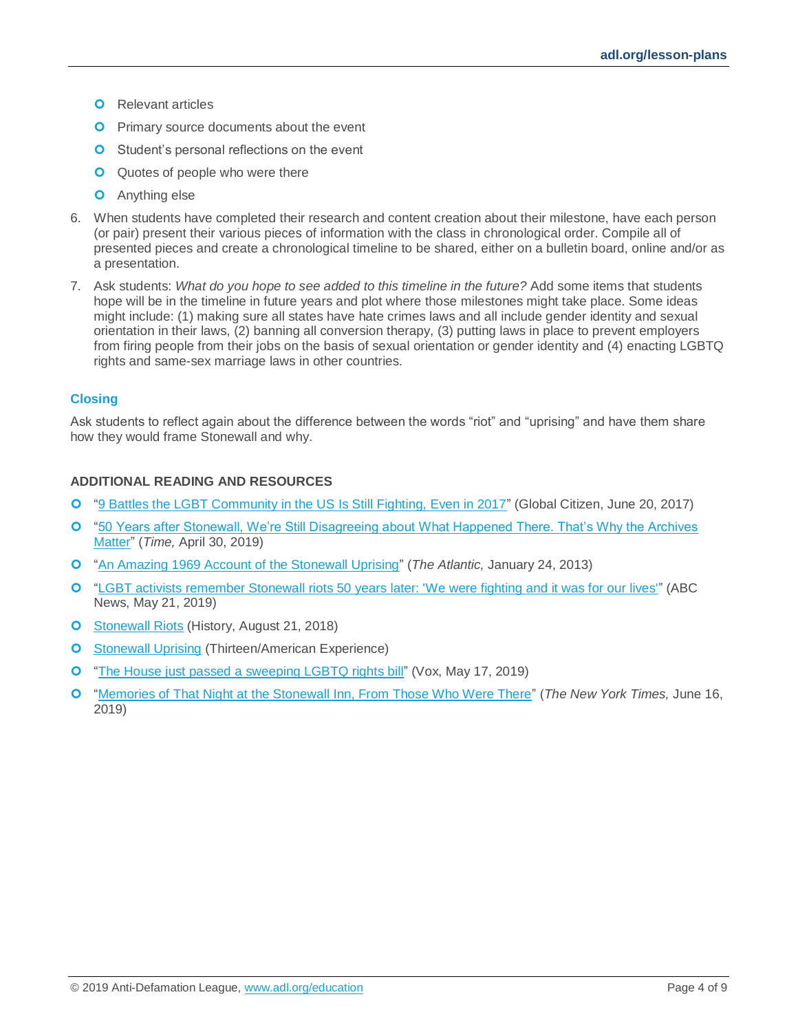- **O** Relevant articles
- **O** Primary source documents about the event
- **O** Student's personal reflections on the event
- **Q** Quotes of people who were there
- **O** Anything else
- 6. When students have completed their research and content creation about their milestone, have each person (or pair) present their various pieces of information with the class in chronological order. Compile all of presented pieces and create a chronological timeline to be shared, either on a bulletin board, online and/or as a presentation.
- 7. Ask students: *What do you hope to see added to this timeline in the future?* Add some items that students hope will be in the timeline in future years and plot where those milestones might take place. Some ideas might include: (1) making sure all states have hate crimes laws and all include gender identity and sexual orientation in their laws, (2) banning all conversion therapy, (3) putting laws in place to prevent employers from firing people from their jobs on the basis of sexual orientation or gender identity and (4) enacting LGBTQ rights and same-sex marriage laws in other countries.

### **Closing**

Ask students to reflect again about the difference between the words "riot" and "uprising" and have them share how they would frame Stonewall and why.

#### **ADDITIONAL READING AND RESOURCES**

- ["9 Battles the LGBT Community in the US Is Still Fighting, Even in 2017"](https://www.globalcitizen.org/en/content/9-battles-the-lgbt-community-in-the-us-is-still-fi/) (Global Citizen, June 20, 2017)
- ["50 Years after Stonewall, We're Still Disagreeing about What Happened There. That's Why the Archives](http://time.com/5579971/christopher-st-stonewall-history/)  [Matter"](http://time.com/5579971/christopher-st-stonewall-history/) (*Time,* April 30, 2019)
- ["An Amazing 1969 Account of the Stonewall Uprising"](https://www.theatlantic.com/politics/archive/2013/01/an-amazing-1969-account-of-the-stonewall-uprising/272467/) (*The Atlantic,* January 24, 2013)
- ["LGBT activists remember Stonewall riots 50 years later: 'We were fighting and it was for our lives'"](https://abcnews.go.com/US/lgbt-activists-remember-stonewall-riots-50-years-fighting/story?id=63083481) (ABC News, May 21, 2019)
- **O** [Stonewall Riots](https://www.history.com/topics/gay-rights/the-stonewall-riots) (History, August 21, 2018)
- **O** [Stonewall Uprising](https://www.thirteen.org/programs/american-experience/american-experience-stonewall-uprising/) (Thirteen/American Experience)
- ["The House just passed a sweeping LGBTQ rights bill"](https://www.vox.com/policy-and-politics/2019/5/17/18627771/equality-act-house-congress-lgbtq-rights-discrimination) (Vox, May 17, 2019)
- ["Memories of That Night at the Stonewall Inn, From Those Who Were There"](https://www.nytimes.com/2019/06/16/us/revisiting-stonewall-memories-history.html) (*The New York Times,* June 16, 2019)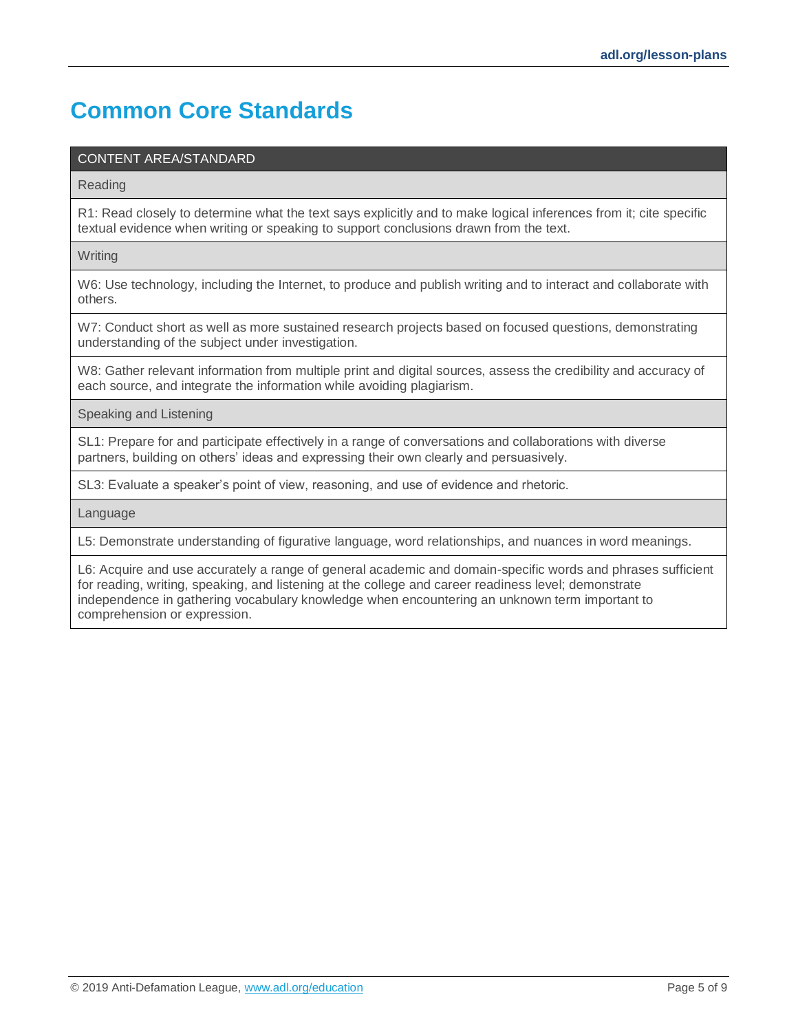# **Common Core Standards**

### CONTENT AREA/STANDARD

Reading

R1: Read closely to determine what the text says explicitly and to make logical inferences from it; cite specific textual evidence when writing or speaking to support conclusions drawn from the text.

**Writing** 

W6: Use technology, including the Internet, to produce and publish writing and to interact and collaborate with others.

W7: Conduct short as well as more sustained research projects based on focused questions, demonstrating understanding of the subject under investigation.

W8: Gather relevant information from multiple print and digital sources, assess the credibility and accuracy of each source, and integrate the information while avoiding plagiarism.

Speaking and Listening

SL1: Prepare for and participate effectively in a range of conversations and collaborations with diverse partners, building on others' ideas and expressing their own clearly and persuasively.

SL3: Evaluate a speaker's point of view, reasoning, and use of evidence and rhetoric.

Language

L5: Demonstrate understanding of figurative language, word relationships, and nuances in word meanings.

L6: Acquire and use accurately a range of general academic and domain-specific words and phrases sufficient for reading, writing, speaking, and listening at the college and career readiness level; demonstrate independence in gathering vocabulary knowledge when encountering an unknown term important to comprehension or expression.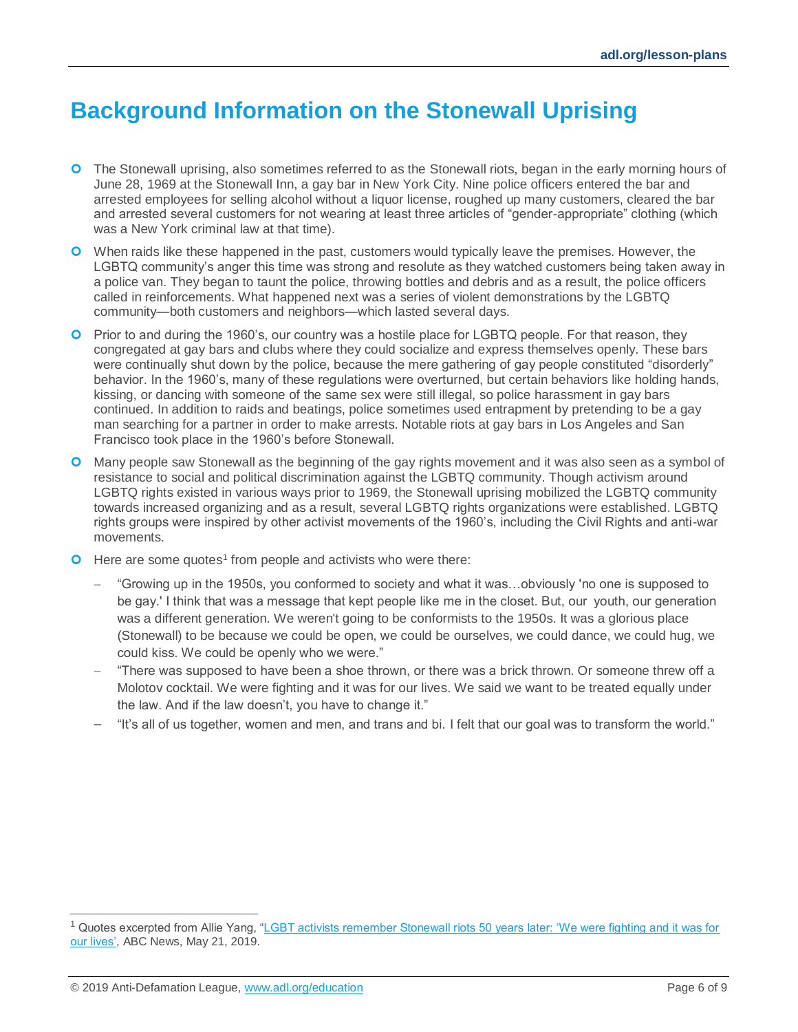# <span id="page-5-0"></span>**Background Information on the Stonewall Uprising**

- **O** The Stonewall uprising, also sometimes referred to as the Stonewall riots, began in the early morning hours of June 28, 1969 at the Stonewall Inn, a gay bar in New York City. Nine police officers entered the bar and arrested employees for selling alcohol without a liquor license, roughed up many customers, cleared the bar and arrested several customers for not wearing at least three articles of "gender-appropriate" clothing (which was a New York criminal law at that time).
- **O** When raids like these happened in the past, customers would typically leave the premises. However, the LGBTQ community's anger this time was strong and resolute as they watched customers being taken away in a police van. They began to taunt the police, throwing bottles and debris and as a result, the police officers called in reinforcements. What happened next was a series of violent demonstrations by the LGBTQ community—both customers and neighbors—which lasted several days.
- **O** Prior to and during the 1960's, our country was a hostile place for LGBTQ people. For that reason, they congregated at gay bars and clubs where they could socialize and express themselves openly. These bars were continually shut down by the police, because the mere gathering of gay people constituted "disorderly" behavior. In the 1960's, many of these regulations were overturned, but certain behaviors like holding hands, kissing, or dancing with someone of the same sex were still illegal, so police harassment in gay bars continued. In addition to raids and beatings, police sometimes used entrapment by pretending to be a gay man searching for a partner in order to make arrests. Notable riots at gay bars in Los Angeles and San Francisco took place in the 1960's before Stonewall.
- Many people saw Stonewall as the beginning of the gay rights movement and it was also seen as a symbol of resistance to social and political discrimination against the LGBTQ community. Though activism around LGBTQ rights existed in various ways prior to 1969, the Stonewall uprising mobilized the LGBTQ community towards increased organizing and as a result, several LGBTQ rights organizations were established. LGBTQ rights groups were inspired by other activist movements of the 1960's, including the Civil Rights and anti-war movements.
- $\bullet$  Here are some quotes<sup>1</sup> from people and activists who were there:
	- − "Growing up in the 1950s, you conformed to society and what it was…obviously 'no one is supposed to be gay.' I think that was a message that kept people like me in the closet. But, our  youth, our generation was a different generation. We weren't going to be conformists to the 1950s. It was a glorious place (Stonewall) to be because we could be open, we could be ourselves, we could dance, we could hug, we could kiss. We could be openly who we were."
	- − "There was supposed to have been a shoe thrown, or there was a brick thrown. Or someone threw off a Molotov cocktail. We were fighting and it was for our lives. We said we want to be treated equally under the law. And if the law doesn't, you have to change it."
	- − "It's all of us together, women and men, and trans and bi. I felt that our goal was to transform the world."

 $\overline{a}$ 

<sup>1</sup> Quotes excerpted from Allie Yang, ["LGBT activists remember Stonewall riots 50 years later: 'We were fighting and it was for](https://abcnews.go.com/US/lgbt-activists-remember-stonewall-riots-50-years-fighting/story?id=63083481)  [our lives',](https://abcnews.go.com/US/lgbt-activists-remember-stonewall-riots-50-years-fighting/story?id=63083481) ABC News, May 21, 2019.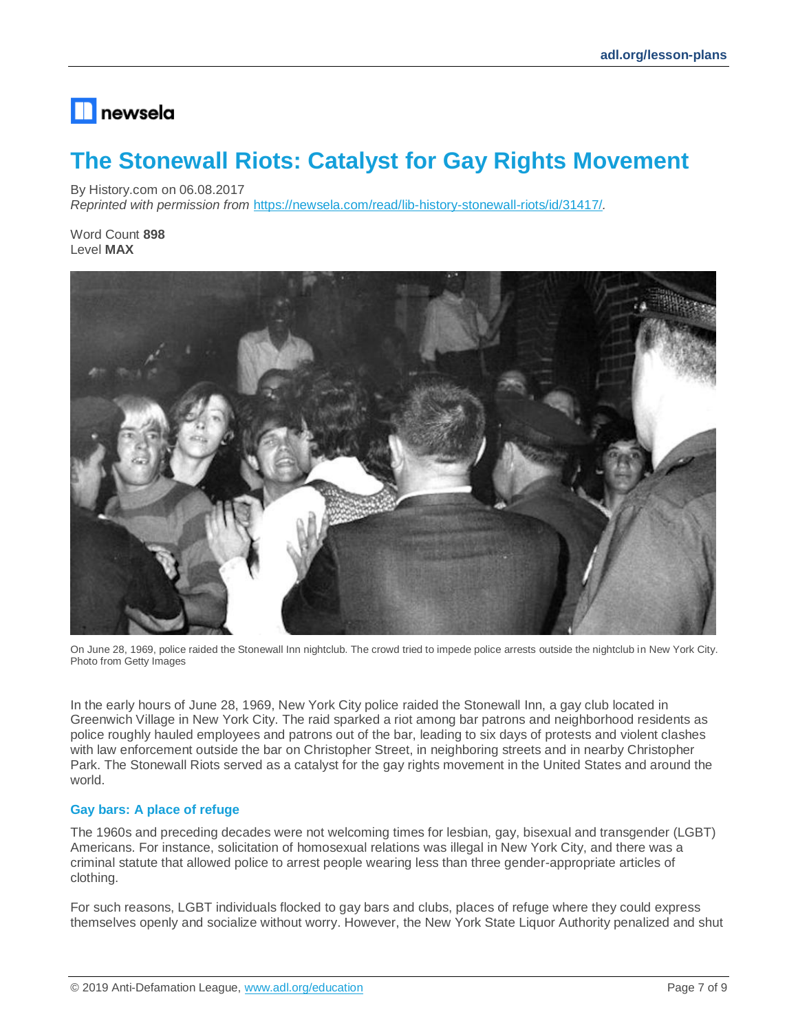## $\blacksquare$  newsela

# <span id="page-6-0"></span>**The Stonewall Riots: Catalyst for Gay Rights Movement**

By History.com on 06.08.2017

*Reprinted with permission from* <https://newsela.com/read/lib-history-stonewall-riots/id/31417/>*.*

Word Count **898** Level **MAX**



On June 28, 1969, police raided the Stonewall Inn nightclub. The crowd tried to impede police arrests outside the nightclub in New York City. Photo from Getty Images

In the early hours of June 28, 1969, New York City police raided the Stonewall Inn, a gay club located in Greenwich Village in New York City. The raid sparked a riot among bar patrons and neighborhood residents as police roughly hauled employees and patrons out of the bar, leading to six days of protests and violent clashes with law enforcement outside the bar on Christopher Street, in neighboring streets and in nearby Christopher Park. The Stonewall Riots served as a catalyst for the gay rights movement in the United States and around the world.

### **Gay bars: A place of refuge**

The 1960s and preceding decades were not welcoming times for lesbian, gay, bisexual and transgender (LGBT) Americans. For instance, solicitation of homosexual relations was illegal in New York City, and there was a criminal statute that allowed police to arrest people wearing less than three gender-appropriate articles of clothing.

For such reasons, LGBT individuals flocked to gay bars and clubs, places of refuge where they could express themselves openly and socialize without worry. However, the New York State Liquor Authority penalized and shut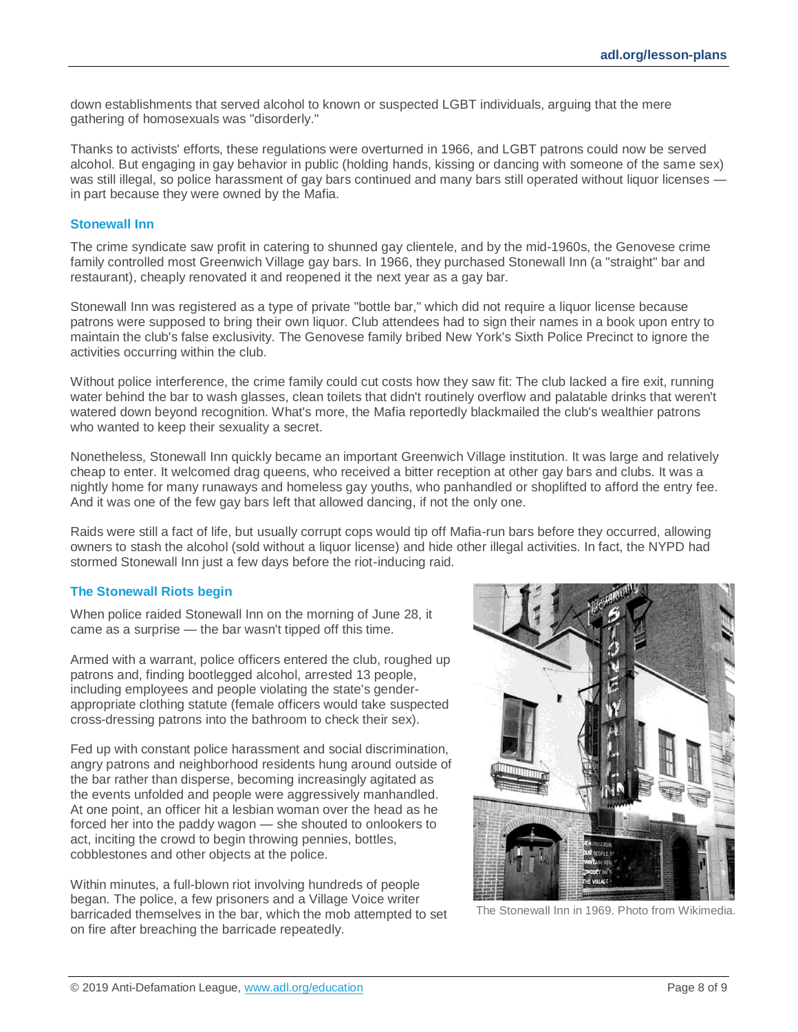down establishments that served alcohol to known or suspected LGBT individuals, arguing that the mere gathering of homosexuals was "disorderly."

Thanks to activists' efforts, these regulations were overturned in 1966, and LGBT patrons could now be served alcohol. But engaging in gay behavior in public (holding hands, kissing or dancing with someone of the same sex) was still illegal, so police harassment of gay bars continued and many bars still operated without liquor licenses in part because they were owned by the Mafia.

#### **Stonewall Inn**

The crime syndicate saw profit in catering to shunned gay clientele, and by the mid-1960s, the Genovese crime family controlled most Greenwich Village gay bars. In 1966, they purchased Stonewall Inn (a "straight" bar and restaurant), cheaply renovated it and reopened it the next year as a gay bar.

Stonewall Inn was registered as a type of private "bottle bar," which did not require a liquor license because patrons were supposed to bring their own liquor. Club attendees had to sign their names in a book upon entry to maintain the club's false exclusivity. The Genovese family bribed New York's Sixth Police Precinct to ignore the activities occurring within the club.

Without police interference, the crime family could cut costs how they saw fit: The club lacked a fire exit, running water behind the bar to wash glasses, clean toilets that didn't routinely overflow and palatable drinks that weren't watered down beyond recognition. What's more, the Mafia reportedly blackmailed the club's wealthier patrons who wanted to keep their sexuality a secret.

Nonetheless, Stonewall Inn quickly became an important Greenwich Village institution. It was large and relatively cheap to enter. It welcomed drag queens, who received a bitter reception at other gay bars and clubs. It was a nightly home for many runaways and homeless gay youths, who panhandled or shoplifted to afford the entry fee. And it was one of the few gay bars left that allowed dancing, if not the only one.

Raids were still a fact of life, but usually corrupt cops would tip off Mafia-run bars before they occurred, allowing owners to stash the alcohol (sold without a liquor license) and hide other illegal activities. In fact, the NYPD had stormed Stonewall Inn just a few days before the riot-inducing raid.

#### **The Stonewall Riots begin**

When police raided Stonewall Inn on the morning of June 28, it came as a surprise — the bar wasn't tipped off this time.

Armed with a warrant, police officers entered the club, roughed up patrons and, finding bootlegged alcohol, arrested 13 people, including employees and people violating the state's genderappropriate clothing statute (female officers would take suspected cross-dressing patrons into the bathroom to check their sex).

Fed up with constant police harassment and social discrimination, angry patrons and neighborhood residents hung around outside of the bar rather than disperse, becoming increasingly agitated as the events unfolded and people were aggressively manhandled. At one point, an officer hit a lesbian woman over the head as he forced her into the paddy wagon — she shouted to onlookers to act, inciting the crowd to begin throwing pennies, bottles, cobblestones and other objects at the police.

Within minutes, a full-blown riot involving hundreds of people began. The police, a few prisoners and a Village Voice writer barricaded themselves in the bar, which the mob attempted to set on fire after breaching the barricade repeatedly.



The Stonewall Inn in 1969. Photo from Wikimedia.